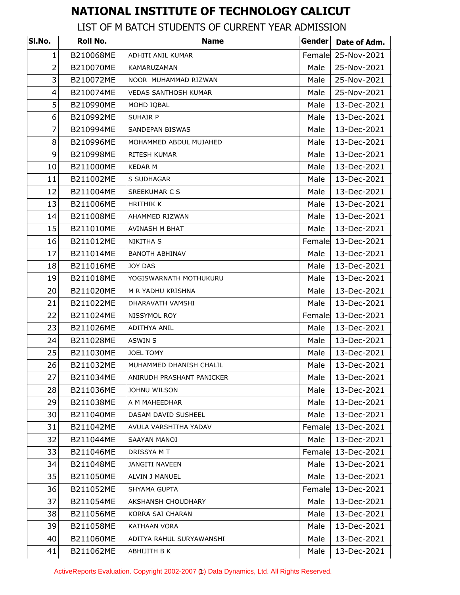## **NATIONAL INSTITUTE OF TECHNOLOGY CALICUT**

## LIST OF M BATCH STUDENTS OF CURRENT YEAR ADMISSION

| SI.No.         | Roll No.  | <b>Name</b>                 | Gender | Date of Adm. |
|----------------|-----------|-----------------------------|--------|--------------|
| $\mathbf{1}$   | B210068ME | ADHITI ANIL KUMAR           | Female | 25-Nov-2021  |
| $\overline{2}$ | B210070ME | KAMARUZAMAN                 | Male   | 25-Nov-2021  |
| 3              | B210072ME | NOOR MUHAMMAD RIZWAN        | Male   | 25-Nov-2021  |
| 4              | B210074ME | <b>VEDAS SANTHOSH KUMAR</b> | Male   | 25-Nov-2021  |
| 5              | B210990ME | MOHD IQBAL                  | Male   | 13-Dec-2021  |
| 6              | B210992ME | <b>SUHAIR P</b>             | Male   | 13-Dec-2021  |
| $\overline{7}$ | B210994ME | <b>SANDEPAN BISWAS</b>      | Male   | 13-Dec-2021  |
| 8              | B210996ME | MOHAMMED ABDUL MUJAHED      | Male   | 13-Dec-2021  |
| 9              | B210998ME | RITESH KUMAR                | Male   | 13-Dec-2021  |
| 10             | B211000ME | <b>KEDAR M</b>              | Male   | 13-Dec-2021  |
| 11             | B211002ME | S SUDHAGAR                  | Male   | 13-Dec-2021  |
| 12             | B211004ME | SREEKUMAR C S               | Male   | 13-Dec-2021  |
| 13             | B211006ME | <b>HRITHIK K</b>            | Male   | 13-Dec-2021  |
| 14             | B211008ME | AHAMMED RIZWAN              | Male   | 13-Dec-2021  |
| 15             | B211010ME | AVINASH M BHAT              | Male   | 13-Dec-2021  |
| 16             | B211012ME | NIKITHA S                   | Female | 13-Dec-2021  |
| 17             | B211014ME | <b>BANOTH ABHINAV</b>       | Male   | 13-Dec-2021  |
| 18             | B211016ME | JOY DAS                     | Male   | 13-Dec-2021  |
| 19             | B211018ME | YOGISWARNATH MOTHUKURU      | Male   | 13-Dec-2021  |
| 20             | B211020ME | M R YADHU KRISHNA           | Male   | 13-Dec-2021  |
| 21             | B211022ME | DHARAVATH VAMSHI            | Male   | 13-Dec-2021  |
| 22             | B211024ME | NISSYMOL ROY                | Female | 13-Dec-2021  |
| 23             | B211026ME | ADITHYA ANIL                | Male   | 13-Dec-2021  |
| 24             | B211028ME | ASWIN S                     | Male   | 13-Dec-2021  |
| 25             | B211030ME | JOEL TOMY                   | Male   | 13-Dec-2021  |
| 26             | B211032ME | MUHAMMED DHANISH CHALIL     | Male   | 13-Dec-2021  |
| 27             | B211034ME | ANIRUDH PRASHANT PANICKER   | Male   | 13-Dec-2021  |
| 28             | B211036ME | JOHNU WILSON                | Male   | 13-Dec-2021  |
| 29             | B211038ME | A M MAHEEDHAR               | Male   | 13-Dec-2021  |
| 30             | B211040ME | DASAM DAVID SUSHEEL         | Male   | 13-Dec-2021  |
| 31             | B211042ME | AVULA VARSHITHA YADAV       | Female | 13-Dec-2021  |
| 32             | B211044ME | SAAYAN MANOJ                | Male   | 13-Dec-2021  |
| 33             | B211046ME | DRISSYA M T                 | Female | 13-Dec-2021  |
| 34             | B211048ME | <b>JANGITI NAVEEN</b>       | Male   | 13-Dec-2021  |
| 35             | B211050ME | ALVIN J MANUEL              | Male   | 13-Dec-2021  |
| 36             | B211052ME | SHYAMA GUPTA                | Female | 13-Dec-2021  |
| 37             | B211054ME | AKSHANSH CHOUDHARY          | Male   | 13-Dec-2021  |
| 38             | B211056ME | KORRA SAI CHARAN            | Male   | 13-Dec-2021  |
| 39             | B211058ME | <b>KATHAAN VORA</b>         | Male   | 13-Dec-2021  |
| 40             | B211060ME | ADITYA RAHUL SURYAWANSHI    | Male   | 13-Dec-2021  |
| 41             | B211062ME | ABHIJITH B K                | Male   | 13-Dec-2021  |

ActiveReports Evaluation. Copyright 2002-2007 (t) Data Dynamics, Ltd. All Rights Reserved.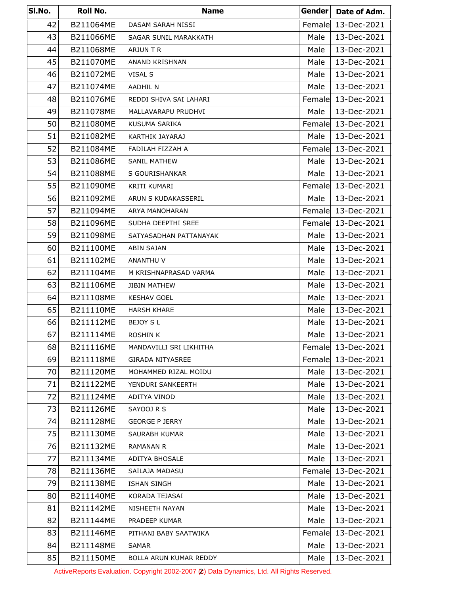| SI.No. | Roll No.  | <b>Name</b>             | Gender | Date of Adm.       |
|--------|-----------|-------------------------|--------|--------------------|
| 42     | B211064ME | DASAM SARAH NISSI       | Female | 13-Dec-2021        |
| 43     | B211066ME | SAGAR SUNIL MARAKKATH   | Male   | 13-Dec-2021        |
| 44     | B211068ME | ARJUN T R               | Male   | 13-Dec-2021        |
| 45     | B211070ME | ANAND KRISHNAN          | Male   | 13-Dec-2021        |
| 46     | B211072ME | VISAL S                 | Male   | 13-Dec-2021        |
| 47     | B211074ME | <b>AADHIL N</b>         | Male   | 13-Dec-2021        |
| 48     | B211076ME | REDDI SHIVA SAI LAHARI  | Female | 13-Dec-2021        |
| 49     | B211078ME | MALLAVARAPU PRUDHVI     | Male   | 13-Dec-2021        |
| 50     | B211080ME | KUSUMA SARIKA           | Female | 13-Dec-2021        |
| 51     | B211082ME | KARTHIK JAYARAJ         | Male   | 13-Dec-2021        |
| 52     | B211084ME | FADILAH FIZZAH A        | Female | 13-Dec-2021        |
| 53     | B211086ME | SANIL MATHEW            | Male   | 13-Dec-2021        |
| 54     | B211088ME | S GOURISHANKAR          | Male   | 13-Dec-2021        |
| 55     | B211090ME | KRITI KUMARI            |        | Female 13-Dec-2021 |
| 56     | B211092ME | ARUN S KUDAKASSERIL     | Male   | 13-Dec-2021        |
| 57     | B211094ME | ARYA MANOHARAN          |        | Female 13-Dec-2021 |
| 58     | B211096ME | SUDHA DEEPTHI SREE      | Female | 13-Dec-2021        |
| 59     | B211098ME | SATYASADHAN PATTANAYAK  | Male   | 13-Dec-2021        |
| 60     | B211100ME | ABIN SAJAN              | Male   | 13-Dec-2021        |
| 61     | B211102ME | ANANTHU V               | Male   | 13-Dec-2021        |
| 62     | B211104ME | M KRISHNAPRASAD VARMA   | Male   | 13-Dec-2021        |
| 63     | B211106ME | <b>JIBIN MATHEW</b>     | Male   | 13-Dec-2021        |
| 64     | B211108ME | <b>KESHAV GOEL</b>      | Male   | 13-Dec-2021        |
| 65     | B211110ME | <b>HARSH KHARE</b>      | Male   | 13-Dec-2021        |
| 66     | B211112ME | BEJOY S L               | Male   | 13-Dec-2021        |
| 67     | B211114ME | ROSHIN K                | Male   | 13-Dec-2021        |
| 68     | B211116ME | MANDAVILLI SRI LIKHITHA |        | Female 13-Dec-2021 |
| 69     | B211118ME | <b>GIRADA NITYASREE</b> | Female | 13-Dec-2021        |
| 70     | B211120ME | MOHAMMED RIZAL MOIDU    | Male   | 13-Dec-2021        |
| 71     | B211122ME | YENDURI SANKEERTH       | Male   | 13-Dec-2021        |
| 72     | B211124ME | ADITYA VINOD            | Male   | 13-Dec-2021        |
| 73     | B211126ME | SAYOOJ R S              | Male   | 13-Dec-2021        |
| 74     | B211128ME | <b>GEORGE P JERRY</b>   | Male   | 13-Dec-2021        |
| 75     | B211130ME | SAURABH KUMAR           | Male   | 13-Dec-2021        |
| 76     | B211132ME | <b>RAMANAN R</b>        | Male   | 13-Dec-2021        |
| 77     | B211134ME | ADITYA BHOSALE          | Male   | 13-Dec-2021        |
| 78     | B211136ME | SAILAJA MADASU          | Female | 13-Dec-2021        |
| 79     | B211138ME | <b>ISHAN SINGH</b>      | Male   | 13-Dec-2021        |
| 80     | B211140ME | KORADA TEJASAI          | Male   | 13-Dec-2021        |
| 81     | B211142ME | NISHEETH NAYAN          | Male   | 13-Dec-2021        |
| 82     | B211144ME | PRADEEP KUMAR           | Male   | 13-Dec-2021        |
| 83     | B211146ME | PITHANI BABY SAATWIKA   | Female | 13-Dec-2021        |
| 84     | B211148ME | SAMAR                   | Male   | 13-Dec-2021        |
| 85     | B211150ME | BOLLA ARUN KUMAR REDDY  | Male   | 13-Dec-2021        |

ActiveReports Evaluation. Copyright 2002-2007 (2) Data Dynamics, Ltd. All Rights Reserved.